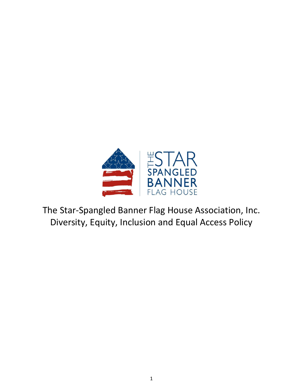

The Star-Spangled Banner Flag House Association, Inc. Diversity, Equity, Inclusion and Equal Access Policy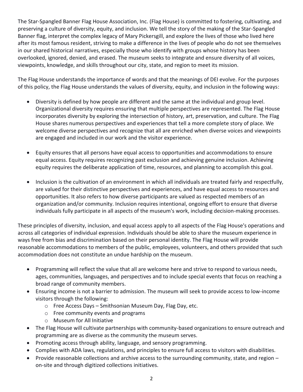The Star-Spangled Banner Flag House Association, Inc. (Flag House) is committed to fostering, cultivating, and preserving a culture of diversity, equity, and inclusion. We tell the story of the making of the Star-Spangled Banner flag, interpret the complex legacy of Mary Pickersgill, and explore the lives of those who lived here after its most famous resident, striving to make a difference in the lives of people who do not see themselves in our shared historical narratives, especially those who identify with groups whose history has been overlooked, ignored, denied, and erased. The museum seeks to integrate and ensure diversity of all voices, viewpoints, knowledge, and skills throughout our city, state, and region to meet its mission.

The Flag House understands the importance of words and that the meanings of DEI evolve. For the purposes of this policy, the Flag House understands the values of diversity, equity, and inclusion in the following ways:

- Diversity is defined by how people are different and the same at the individual and group level. Organizational diversity requires ensuring that multiple perspectives are represented. The Flag House incorporates diversity by exploring the intersection of history, art, preservation, and culture. The Flag House shares numerous perspectives and experiences that tell a more complete story of place. We welcome diverse perspectives and recognize that all are enriched when diverse voices and viewpoints are engaged and included in our work and the visitor experience.
- Equity ensures that all persons have equal access to opportunities and accommodations to ensure equal access. Equity requires recognizing past exclusion and achieving genuine inclusion. Achieving equity requires the deliberate application of time, resources, and planning to accomplish this goal.
- Inclusion is the cultivation of an environment in which all individuals are treated fairly and respectfully, are valued for their distinctive perspectives and experiences, and have equal access to resources and opportunities. It also refers to how diverse participants are valued as respected members of an organization and/or community. Inclusion requires intentional, ongoing effort to ensure that diverse individuals fully participate in all aspects of the museum's work, including decision-making processes.

These principles of diversity, inclusion, and equal access apply to all aspects of the Flag House's operations and across all categories of individual expression. Individuals should be able to share the museum experience in ways free from bias and discrimination based on their personal identity. The Flag House will provide reasonable accommodations to members of the public, employees, volunteers, and others provided that such accommodation does not constitute an undue hardship on the museum.

- Programming will reflect the value that all are welcome here and strive to respond to various needs, ages, communities, languages, and perspectives and to include special events that focus on reaching a broad range of community members.
- Ensuring income is not a barrier to admission. The museum will seek to provide access to low-income visitors through the following:
	- o Free Access Days Smithsonian Museum Day, Flag Day, etc.
	- o Free community events and programs
	- o Museum for All Initiative
- The Flag House will cultivate partnerships with community-based organizations to ensure outreach and programming are as diverse as the community the museum serves.
- Promoting access through ability, language, and sensory programming.
- Complies with ADA laws, regulations, and principles to ensure full access to visitors with disabilities.
- Provide reasonable collections and archive access to the surrounding community, state, and region on-site and through digitized collections initiatives.